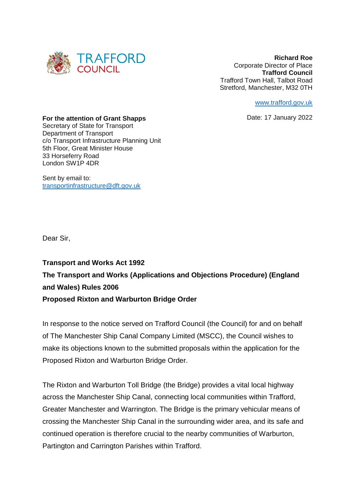

**Richard Roe**  Corporate Director of Place **Trafford Council** Trafford Town Hall, Talbot Road Stretford, Manchester, M32 0TH

[www.trafford.gov.uk](http://www.trafford.gov.uk/)

Date: 17 January 2022

#### **For the attention of Grant Shapps**

Secretary of State for Transport Department of Transport c/o Transport Infrastructure Planning Unit 5th Floor, Great Minister House 33 Horseferry Road London SW1P 4DR

Sent by email to: [transportinfrastructure@dft.gov.uk](mailto:transportinfrastructure@dft.gov.uk)

Dear Sir,

**Transport and Works Act 1992 The Transport and Works (Applications and Objections Procedure) (England and Wales) Rules 2006 Proposed Rixton and Warburton Bridge Order** 

In response to the notice served on Trafford Council (the Council) for and on behalf of The Manchester Ship Canal Company Limited (MSCC), the Council wishes to make its objections known to the submitted proposals within the application for the Proposed Rixton and Warburton Bridge Order.

The Rixton and Warburton Toll Bridge (the Bridge) provides a vital local highway across the Manchester Ship Canal, connecting local communities within Trafford, Greater Manchester and Warrington. The Bridge is the primary vehicular means of crossing the Manchester Ship Canal in the surrounding wider area, and its safe and continued operation is therefore crucial to the nearby communities of Warburton, Partington and Carrington Parishes within Trafford.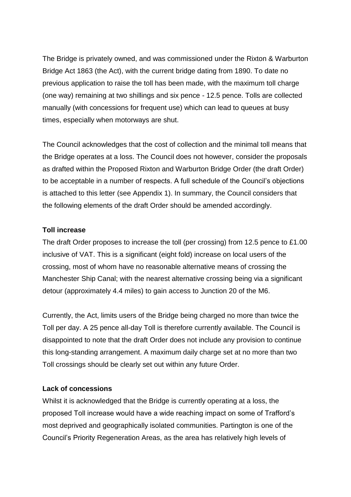The Bridge is privately owned, and was commissioned under the Rixton & Warburton Bridge Act 1863 (the Act), with the current bridge dating from 1890. To date no previous application to raise the toll has been made, with the maximum toll charge (one way) remaining at two shillings and six pence - 12.5 pence. Tolls are collected manually (with concessions for frequent use) which can lead to queues at busy times, especially when motorways are shut.

The Council acknowledges that the cost of collection and the minimal toll means that the Bridge operates at a loss. The Council does not however, consider the proposals as drafted within the Proposed Rixton and Warburton Bridge Order (the draft Order) to be acceptable in a number of respects. A full schedule of the Council's objections is attached to this letter (see Appendix 1). In summary, the Council considers that the following elements of the draft Order should be amended accordingly.

# **Toll increase**

The draft Order proposes to increase the toll (per crossing) from 12.5 pence to £1.00 inclusive of VAT. This is a significant (eight fold) increase on local users of the crossing, most of whom have no reasonable alternative means of crossing the Manchester Ship Canal; with the nearest alternative crossing being via a significant detour (approximately 4.4 miles) to gain access to Junction 20 of the M6.

Currently, the Act, limits users of the Bridge being charged no more than twice the Toll per day. A 25 pence all-day Toll is therefore currently available. The Council is disappointed to note that the draft Order does not include any provision to continue this long-standing arrangement. A maximum daily charge set at no more than two Toll crossings should be clearly set out within any future Order.

#### **Lack of concessions**

Whilst it is acknowledged that the Bridge is currently operating at a loss, the proposed Toll increase would have a wide reaching impact on some of Trafford's most deprived and geographically isolated communities. Partington is one of the Council's Priority Regeneration Areas, as the area has relatively high levels of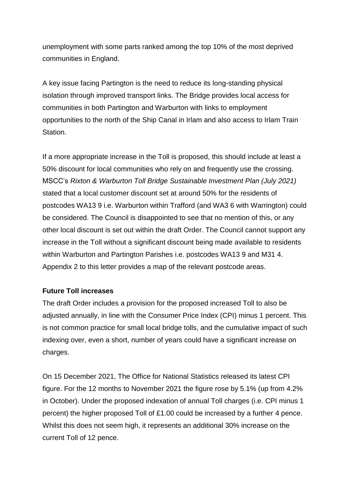unemployment with some parts ranked among the top 10% of the most deprived communities in England.

A key issue facing Partington is the need to reduce its long-standing physical isolation through improved transport links. The Bridge provides local access for communities in both Partington and Warburton with links to employment opportunities to the north of the Ship Canal in Irlam and also access to Irlam Train Station.

If a more appropriate increase in the Toll is proposed, this should include at least a 50% discount for local communities who rely on and frequently use the crossing. MSCC's *Rixton & Warburton Toll Bridge Sustainable Investment Plan (July 2021)*  stated that a local customer discount set at around 50% for the residents of postcodes WA13 9 i.e. Warburton within Trafford (and WA3 6 with Warrington) could be considered. The Council is disappointed to see that no mention of this, or any other local discount is set out within the draft Order. The Council cannot support any increase in the Toll without a significant discount being made available to residents within Warburton and Partington Parishes i.e. postcodes WA13 9 and M31 4. Appendix 2 to this letter provides a map of the relevant postcode areas.

# **Future Toll increases**

The draft Order includes a provision for the proposed increased Toll to also be adjusted annually, in line with the Consumer Price Index (CPI) minus 1 percent. This is not common practice for small local bridge tolls, and the cumulative impact of such indexing over, even a short, number of years could have a significant increase on charges.

On 15 December 2021, The Office for National Statistics released its latest CPI figure. For the 12 months to November 2021 the figure rose by 5.1% (up from 4.2% in October). Under the proposed indexation of annual Toll charges (i.e. CPI minus 1 percent) the higher proposed Toll of £1.00 could be increased by a further 4 pence. Whilst this does not seem high, it represents an additional 30% increase on the current Toll of 12 pence.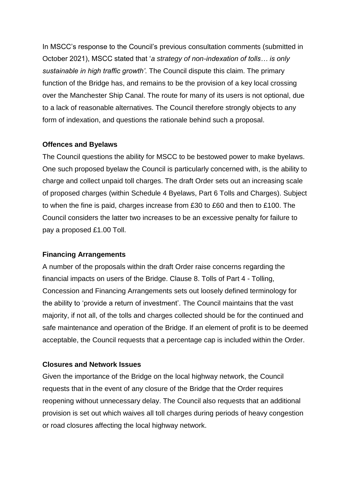In MSCC's response to the Council's previous consultation comments (submitted in October 2021), MSCC stated that '*a strategy of non-indexation of tolls… is only sustainable in high traffic growth'*. The Council dispute this claim. The primary function of the Bridge has, and remains to be the provision of a key local crossing over the Manchester Ship Canal. The route for many of its users is not optional, due to a lack of reasonable alternatives. The Council therefore strongly objects to any form of indexation, and questions the rationale behind such a proposal.

### **Offences and Byelaws**

The Council questions the ability for MSCC to be bestowed power to make byelaws. One such proposed byelaw the Council is particularly concerned with, is the ability to charge and collect unpaid toll charges. The draft Order sets out an increasing scale of proposed charges (within Schedule 4 Byelaws, Part 6 Tolls and Charges). Subject to when the fine is paid, charges increase from £30 to £60 and then to £100. The Council considers the latter two increases to be an excessive penalty for failure to pay a proposed £1.00 Toll.

# **Financing Arrangements**

A number of the proposals within the draft Order raise concerns regarding the financial impacts on users of the Bridge. Clause 8. Tolls of Part 4 - Tolling, Concession and Financing Arrangements sets out loosely defined terminology for the ability to 'provide a return of investment'. The Council maintains that the vast majority, if not all, of the tolls and charges collected should be for the continued and safe maintenance and operation of the Bridge. If an element of profit is to be deemed acceptable, the Council requests that a percentage cap is included within the Order.

### **Closures and Network Issues**

Given the importance of the Bridge on the local highway network, the Council requests that in the event of any closure of the Bridge that the Order requires reopening without unnecessary delay. The Council also requests that an additional provision is set out which waives all toll charges during periods of heavy congestion or road closures affecting the local highway network.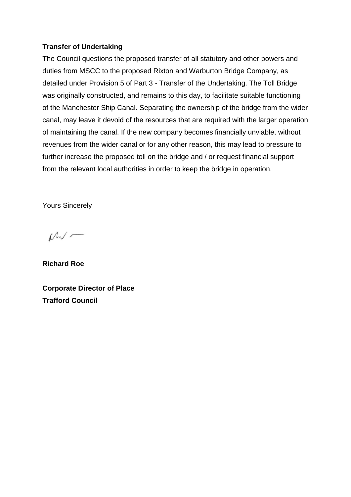# **Transfer of Undertaking**

The Council questions the proposed transfer of all statutory and other powers and duties from MSCC to the proposed Rixton and Warburton Bridge Company, as detailed under Provision 5 of Part 3 - Transfer of the Undertaking. The Toll Bridge was originally constructed, and remains to this day, to facilitate suitable functioning of the Manchester Ship Canal. Separating the ownership of the bridge from the wider canal, may leave it devoid of the resources that are required with the larger operation of maintaining the canal. If the new company becomes financially unviable, without revenues from the wider canal or for any other reason, this may lead to pressure to further increase the proposed toll on the bridge and / or request financial support from the relevant local authorities in order to keep the bridge in operation.

Yours Sincerely

 $M -$ 

**Richard Roe**

**Corporate Director of Place Trafford Council**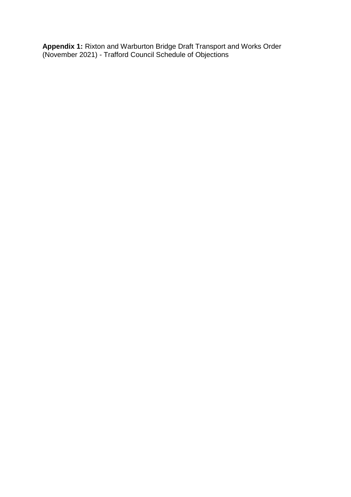**Appendix 1:** Rixton and Warburton Bridge Draft Transport and Works Order (November 2021) - Trafford Council Schedule of Objections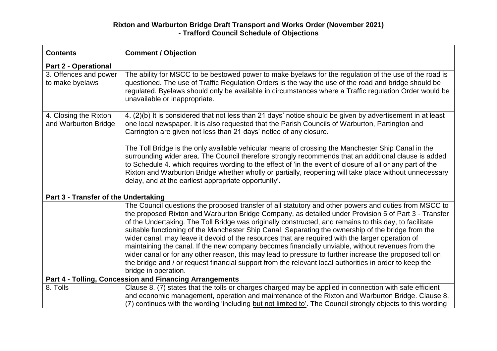# **Rixton and Warburton Bridge Draft Transport and Works Order (November 2021) - Trafford Council Schedule of Objections**

| <b>Contents</b>                                         | <b>Comment / Objection</b>                                                                                                                                                                                                                                                                                                                                                                                                                                                                                                                                                                                                                                                                                                                                                                                                                                                          |  |
|---------------------------------------------------------|-------------------------------------------------------------------------------------------------------------------------------------------------------------------------------------------------------------------------------------------------------------------------------------------------------------------------------------------------------------------------------------------------------------------------------------------------------------------------------------------------------------------------------------------------------------------------------------------------------------------------------------------------------------------------------------------------------------------------------------------------------------------------------------------------------------------------------------------------------------------------------------|--|
| <b>Part 2 - Operational</b>                             |                                                                                                                                                                                                                                                                                                                                                                                                                                                                                                                                                                                                                                                                                                                                                                                                                                                                                     |  |
| 3. Offences and power<br>to make byelaws                | The ability for MSCC to be bestowed power to make byelaws for the regulation of the use of the road is<br>questioned. The use of Traffic Regulation Orders is the way the use of the road and bridge should be<br>regulated. Byelaws should only be available in circumstances where a Traffic regulation Order would be<br>unavailable or inappropriate.                                                                                                                                                                                                                                                                                                                                                                                                                                                                                                                           |  |
| 4. Closing the Rixton<br>and Warburton Bridge           | 4. (2)(b) It is considered that not less than 21 days' notice should be given by advertisement in at least<br>one local newspaper. It is also requested that the Parish Councils of Warburton, Partington and<br>Carrington are given not less than 21 days' notice of any closure.                                                                                                                                                                                                                                                                                                                                                                                                                                                                                                                                                                                                 |  |
|                                                         | The Toll Bridge is the only available vehicular means of crossing the Manchester Ship Canal in the<br>surrounding wider area. The Council therefore strongly recommends that an additional clause is added<br>to Schedule 4. which requires wording to the effect of 'in the event of closure of all or any part of the<br>Rixton and Warburton Bridge whether wholly or partially, reopening will take place without unnecessary<br>delay, and at the earliest appropriate opportunity'.                                                                                                                                                                                                                                                                                                                                                                                           |  |
| Part 3 - Transfer of the Undertaking                    |                                                                                                                                                                                                                                                                                                                                                                                                                                                                                                                                                                                                                                                                                                                                                                                                                                                                                     |  |
|                                                         | The Council questions the proposed transfer of all statutory and other powers and duties from MSCC to<br>the proposed Rixton and Warburton Bridge Company, as detailed under Provision 5 of Part 3 - Transfer<br>of the Undertaking. The Toll Bridge was originally constructed, and remains to this day, to facilitate<br>suitable functioning of the Manchester Ship Canal. Separating the ownership of the bridge from the<br>wider canal, may leave it devoid of the resources that are required with the larger operation of<br>maintaining the canal. If the new company becomes financially unviable, without revenues from the<br>wider canal or for any other reason, this may lead to pressure to further increase the proposed toll on<br>the bridge and / or request financial support from the relevant local authorities in order to keep the<br>bridge in operation. |  |
| Part 4 - Tolling, Concession and Financing Arrangements |                                                                                                                                                                                                                                                                                                                                                                                                                                                                                                                                                                                                                                                                                                                                                                                                                                                                                     |  |
| 8. Tolls                                                | Clause 8. (7) states that the tolls or charges charged may be applied in connection with safe efficient<br>and economic management, operation and maintenance of the Rixton and Warburton Bridge. Clause 8.<br>(7) continues with the wording 'including but not limited to'. The Council strongly objects to this wording                                                                                                                                                                                                                                                                                                                                                                                                                                                                                                                                                          |  |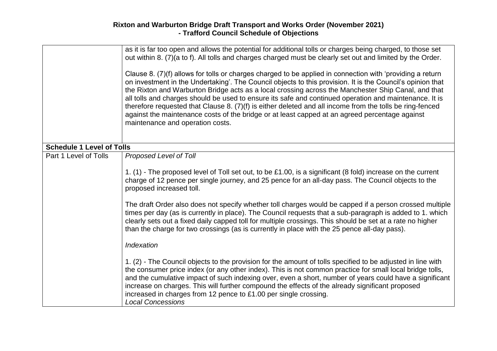|                                  | as it is far too open and allows the potential for additional tolls or charges being charged, to those set<br>out within 8. (7)(a to f). All tolls and charges charged must be clearly set out and limited by the Order.<br>Clause 8. (7)(f) allows for tolls or charges charged to be applied in connection with 'providing a return<br>on investment in the Undertaking'. The Council objects to this provision. It is the Council's opinion that<br>the Rixton and Warburton Bridge acts as a local crossing across the Manchester Ship Canal, and that<br>all tolls and charges should be used to ensure its safe and continued operation and maintenance. It is<br>therefore requested that Clause 8. (7)(f) is either deleted and all income from the tolls be ring-fenced<br>against the maintenance costs of the bridge or at least capped at an agreed percentage against<br>maintenance and operation costs. |  |
|----------------------------------|------------------------------------------------------------------------------------------------------------------------------------------------------------------------------------------------------------------------------------------------------------------------------------------------------------------------------------------------------------------------------------------------------------------------------------------------------------------------------------------------------------------------------------------------------------------------------------------------------------------------------------------------------------------------------------------------------------------------------------------------------------------------------------------------------------------------------------------------------------------------------------------------------------------------|--|
| <b>Schedule 1 Level of Tolls</b> |                                                                                                                                                                                                                                                                                                                                                                                                                                                                                                                                                                                                                                                                                                                                                                                                                                                                                                                        |  |
| Part 1 Level of Tolls            | Proposed Level of Toll<br>1. (1) - The proposed level of Toll set out, to be £1.00, is a significant (8 fold) increase on the current<br>charge of 12 pence per single journey, and 25 pence for an all-day pass. The Council objects to the<br>proposed increased toll.<br>The draft Order also does not specify whether toll charges would be capped if a person crossed multiple<br>times per day (as is currently in place). The Council requests that a sub-paragraph is added to 1. which<br>clearly sets out a fixed daily capped toll for multiple crossings. This should be set at a rate no higher<br>than the charge for two crossings (as is currently in place with the 25 pence all-day pass).<br>Indexation                                                                                                                                                                                             |  |
|                                  | 1. (2) - The Council objects to the provision for the amount of tolls specified to be adjusted in line with<br>the consumer price index (or any other index). This is not common practice for small local bridge tolls,<br>and the cumulative impact of such indexing over, even a short, number of years could have a significant<br>increase on charges. This will further compound the effects of the already significant proposed<br>increased in charges from 12 pence to £1.00 per single crossing.<br><b>Local Concessions</b>                                                                                                                                                                                                                                                                                                                                                                                  |  |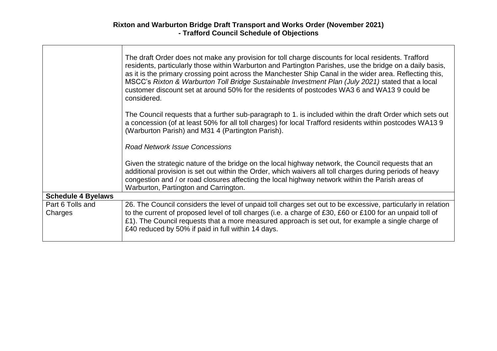$\Gamma$ 

|                             | The draft Order does not make any provision for toll charge discounts for local residents. Trafford<br>residents, particularly those within Warburton and Partington Parishes, use the bridge on a daily basis,<br>as it is the primary crossing point across the Manchester Ship Canal in the wider area. Reflecting this,<br>MSCC's Rixton & Warburton Toll Bridge Sustainable Investment Plan (July 2021) stated that a local<br>customer discount set at around 50% for the residents of postcodes WA3 6 and WA13 9 could be<br>considered. |  |
|-----------------------------|-------------------------------------------------------------------------------------------------------------------------------------------------------------------------------------------------------------------------------------------------------------------------------------------------------------------------------------------------------------------------------------------------------------------------------------------------------------------------------------------------------------------------------------------------|--|
|                             | The Council requests that a further sub-paragraph to 1. is included within the draft Order which sets out<br>a concession (of at least 50% for all toll charges) for local Trafford residents within postcodes WA13 9<br>(Warburton Parish) and M31 4 (Partington Parish).                                                                                                                                                                                                                                                                      |  |
|                             | <b>Road Network Issue Concessions</b>                                                                                                                                                                                                                                                                                                                                                                                                                                                                                                           |  |
|                             | Given the strategic nature of the bridge on the local highway network, the Council requests that an<br>additional provision is set out within the Order, which waivers all toll charges during periods of heavy<br>congestion and / or road closures affecting the local highway network within the Parish areas of<br>Warburton, Partington and Carrington.                                                                                                                                                                                    |  |
| <b>Schedule 4 Byelaws</b>   |                                                                                                                                                                                                                                                                                                                                                                                                                                                                                                                                                 |  |
| Part 6 Tolls and<br>Charges | 26. The Council considers the level of unpaid toll charges set out to be excessive, particularly in relation<br>to the current of proposed level of toll charges (i.e. a charge of £30, £60 or £100 for an unpaid toll of<br>£1). The Council requests that a more measured approach is set out, for example a single charge of<br>£40 reduced by 50% if paid in full within 14 days.                                                                                                                                                           |  |